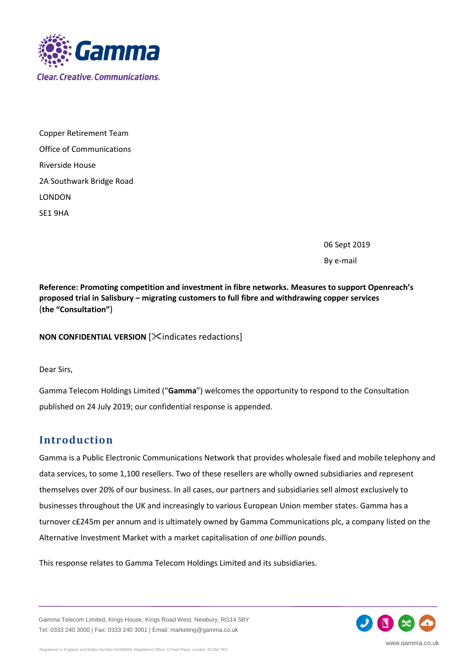

Copper Retirement Team Office of Communications Riverside House 2A Southwark Bridge Road LONDON SE1 9HA

06 Sept 2019

By e-mail

**Reference: Promoting competition and investment in fibre networks. Measures to support Openreach's proposed trial in Salisbury – migrating customers to full fibre and withdrawing copper services** (**the "Consultation"**)

**NON CONFIDENTIAL VERSION [Xindicates redactions]** 

Dear Sirs,

Gamma Telecom Holdings Limited ("**Gamma**") welcomes the opportunity to respond to the Consultation published on 24 July 2019; our confidential response is appended.

# **Introduction**

Gamma is a Public Electronic Communications Network that provides wholesale fixed and mobile telephony and data services, to some 1,100 resellers. Two of these resellers are wholly owned subsidiaries and represent themselves over 20% of our business. In all cases, our partners and subsidiaries sell almost exclusively to businesses throughout the UK and increasingly to various European Union member states. Gamma has a turnover c£245m per annum and is ultimately owned by Gamma Communications plc, a company listed on the Alternative Investment Market with a market capitalisation of *one billion* pounds.

This response relates to Gamma Telecom Holdings Limited and its subsidiaries.

Gamma Telecom Limited, Kings House, Kings Road West, Newbury, RG14 5BY Tel: 0333 240 3000 | Fax: 0333 240 3001 | Email: marketing@gamma.co.uk

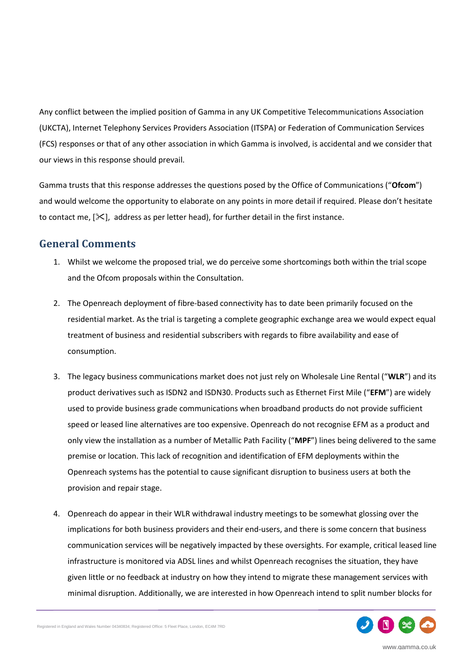Any conflict between the implied position of Gamma in any UK Competitive Telecommunications Association (UKCTA), Internet Telephony Services Providers Association (ITSPA) or Federation of Communication Services (FCS) responses or that of any other association in which Gamma is involved, is accidental and we consider that our views in this response should prevail.

Gamma trusts that this response addresses the questions posed by the Office of Communications ("**Ofcom**") and would welcome the opportunity to elaborate on any points in more detail if required. Please don't hesitate to contact me,  $[\mathcal{K}]$ , address as per letter head), for further detail in the first instance.

### **General Comments**

- 1. Whilst we welcome the proposed trial, we do perceive some shortcomings both within the trial scope and the Ofcom proposals within the Consultation.
- 2. The Openreach deployment of fibre-based connectivity has to date been primarily focused on the residential market. As the trial is targeting a complete geographic exchange area we would expect equal treatment of business and residential subscribers with regards to fibre availability and ease of consumption.
- 3. The legacy business communications market does not just rely on Wholesale Line Rental ("**WLR**") and its product derivatives such as ISDN2 and ISDN30. Products such as Ethernet First Mile ("**EFM**") are widely used to provide business grade communications when broadband products do not provide sufficient speed or leased line alternatives are too expensive. Openreach do not recognise EFM as a product and only view the installation as a number of Metallic Path Facility ("**MPF**") lines being delivered to the same premise or location. This lack of recognition and identification of EFM deployments within the Openreach systems has the potential to cause significant disruption to business users at both the provision and repair stage.
- 4. Openreach do appear in their WLR withdrawal industry meetings to be somewhat glossing over the implications for both business providers and their end-users, and there is some concern that business communication services will be negatively impacted by these oversights. For example, critical leased line infrastructure is monitored via ADSL lines and whilst Openreach recognises the situation, they have given little or no feedback at industry on how they intend to migrate these management services with minimal disruption. Additionally, we are interested in how Openreach intend to split number blocks for



www.gamma.co.uk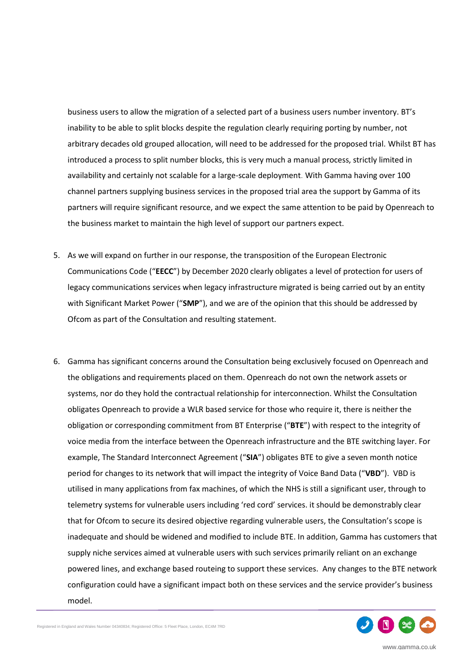business users to allow the migration of a selected part of a business users number inventory. BT's inability to be able to split blocks despite the regulation clearly requiring porting by number, not arbitrary decades old grouped allocation, will need to be addressed for the proposed trial. Whilst BT has introduced a process to split number blocks, this is very much a manual process, strictly limited in availability and certainly not scalable for a large-scale deployment. With Gamma having over 100 channel partners supplying business services in the proposed trial area the support by Gamma of its partners will require significant resource, and we expect the same attention to be paid by Openreach to the business market to maintain the high level of support our partners expect.

- 5. As we will expand on further in our response, the transposition of the European Electronic Communications Code ("**EECC**") by December 2020 clearly obligates a level of protection for users of legacy communications services when legacy infrastructure migrated is being carried out by an entity with Significant Market Power ("**SMP**"), and we are of the opinion that this should be addressed by Ofcom as part of the Consultation and resulting statement.
- 6. Gamma has significant concerns around the Consultation being exclusively focused on Openreach and the obligations and requirements placed on them. Openreach do not own the network assets or systems, nor do they hold the contractual relationship for interconnection. Whilst the Consultation obligates Openreach to provide a WLR based service for those who require it, there is neither the obligation or corresponding commitment from BT Enterprise ("**BTE**") with respect to the integrity of voice media from the interface between the Openreach infrastructure and the BTE switching layer. For example, The Standard Interconnect Agreement ("**SIA**") obligates BTE to give a seven month notice period for changes to its network that will impact the integrity of Voice Band Data ("**VBD**"). VBD is utilised in many applications from fax machines, of which the NHS is still a significant user, through to telemetry systems for vulnerable users including 'red cord' services. it should be demonstrably clear that for Ofcom to secure its desired objective regarding vulnerable users, the Consultation's scope is inadequate and should be widened and modified to include BTE. In addition, Gamma has customers that supply niche services aimed at vulnerable users with such services primarily reliant on an exchange powered lines, and exchange based routeing to support these services. Any changes to the BTE network configuration could have a significant impact both on these services and the service provider's business model.

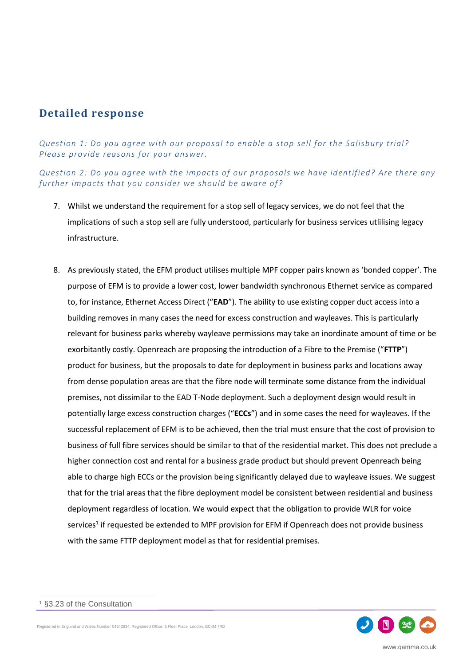## **Detailed response**

*Question 1: Do you agree with our proposal to enable a stop sell for the Salisbury trial? Please provide reasons for your answer.*

*Question 2: Do you agree with the impacts of our proposals we have identified? Are there any further impacts that you consider we should be aware of?*

- 7. Whilst we understand the requirement for a stop sell of legacy services, we do not feel that the implications of such a stop sell are fully understood, particularly for business services utlilising legacy infrastructure.
- 8. As previously stated, the EFM product utilises multiple MPF copper pairs known as 'bonded copper'. The purpose of EFM is to provide a lower cost, lower bandwidth synchronous Ethernet service as compared to, for instance, Ethernet Access Direct ("**EAD**"). The ability to use existing copper duct access into a building removes in many cases the need for excess construction and wayleaves. This is particularly relevant for business parks whereby wayleave permissions may take an inordinate amount of time or be exorbitantly costly. Openreach are proposing the introduction of a Fibre to the Premise ("**FTTP**") product for business, but the proposals to date for deployment in business parks and locations away from dense population areas are that the fibre node will terminate some distance from the individual premises, not dissimilar to the EAD T-Node deployment. Such a deployment design would result in potentially large excess construction charges ("**ECCs**") and in some cases the need for wayleaves. If the successful replacement of EFM is to be achieved, then the trial must ensure that the cost of provision to business of full fibre services should be similar to that of the residential market. This does not preclude a higher connection cost and rental for a business grade product but should prevent Openreach being able to charge high ECCs or the provision being significantly delayed due to wayleave issues. We suggest that for the trial areas that the fibre deployment model be consistent between residential and business deployment regardless of location. We would expect that the obligation to provide WLR for voice services<sup>1</sup> if requested be extended to MPF provision for EFM if Openreach does not provide business with the same FTTP deployment model as that for residential premises.



 $\overline{a}$ 

Registered in England and Wales Number 04340834; Registered Office: 5 Fleet Place, London, EC4M 7RD

<sup>§3.23</sup> of the Consultation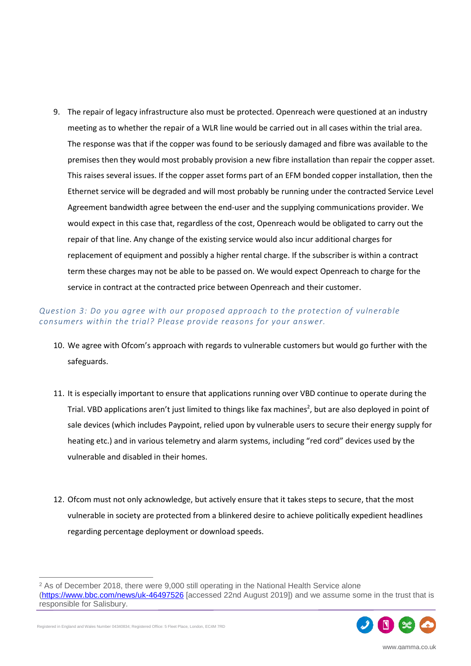9. The repair of legacy infrastructure also must be protected. Openreach were questioned at an industry meeting as to whether the repair of a WLR line would be carried out in all cases within the trial area. The response was that if the copper was found to be seriously damaged and fibre was available to the premises then they would most probably provision a new fibre installation than repair the copper asset. This raises several issues. If the copper asset forms part of an EFM bonded copper installation, then the Ethernet service will be degraded and will most probably be running under the contracted Service Level Agreement bandwidth agree between the end-user and the supplying communications provider. We would expect in this case that, regardless of the cost, Openreach would be obligated to carry out the repair of that line. Any change of the existing service would also incur additional charges for replacement of equipment and possibly a higher rental charge. If the subscriber is within a contract term these charges may not be able to be passed on. We would expect Openreach to charge for the service in contract at the contracted price between Openreach and their customer.

### *Question 3: Do you agree with our proposed approach to the protection of vulnerable consumers within the trial? Please provide reasons for your answer.*

- 10. We agree with Ofcom's approach with regards to vulnerable customers but would go further with the safeguards.
- 11. It is especially important to ensure that applications running over VBD continue to operate during the Trial. VBD applications aren't just limited to things like fax machines<sup>2</sup>, but are also deployed in point of sale devices (which includes Paypoint, relied upon by vulnerable users to secure their energy supply for heating etc.) and in various telemetry and alarm systems, including "red cord" devices used by the vulnerable and disabled in their homes.
- 12. Ofcom must not only acknowledge, but actively ensure that it takes steps to secure, that the most vulnerable in society are protected from a blinkered desire to achieve politically expedient headlines regarding percentage deployment or download speeds.

 $\overline{a}$ <sup>2</sup> As of December 2018, there were 9,000 still operating in the National Health Service alone [\(https://www.bbc.com/news/uk-46497526](https://www.bbc.com/news/uk-46497526) [accessed 22nd August 2019]) and we assume some in the trust that is responsible for Salisbury.



Registered in England and Wales Number 04340834; Registered Office: 5 Fleet Place, London, EC4M 7RD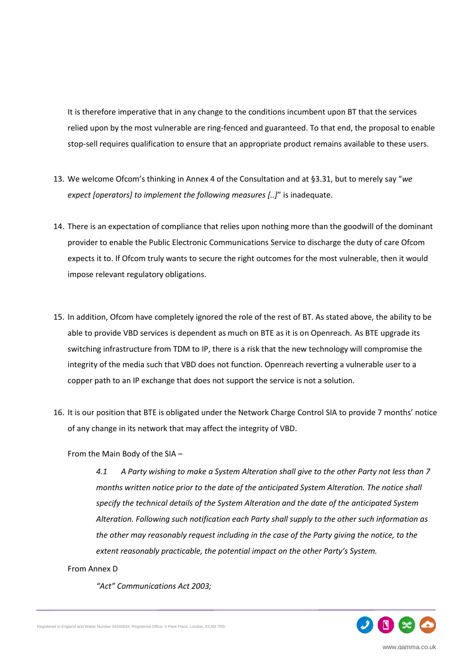It is therefore imperative that in any change to the conditions incumbent upon BT that the services relied upon by the most vulnerable are ring-fenced and guaranteed. To that end, the proposal to enable stop-sell requires qualification to ensure that an appropriate product remains available to these users.

- 13. We welcome Ofcom's thinking in Annex 4 of the Consultation and at §3.31, but to merely say "*we expect [operators] to implement the following measures [..]*" is inadequate.
- 14. There is an expectation of compliance that relies upon nothing more than the goodwill of the dominant provider to enable the Public Electronic Communications Service to discharge the duty of care Ofcom expects it to. If Ofcom truly wants to secure the right outcomes for the most vulnerable, then it would impose relevant regulatory obligations.
- 15. In addition, Ofcom have completely ignored the role of the rest of BT. As stated above, the ability to be able to provide VBD services is dependent as much on BTE as it is on Openreach. As BTE upgrade its switching infrastructure from TDM to IP, there is a risk that the new technology will compromise the integrity of the media such that VBD does not function. Openreach reverting a vulnerable user to a copper path to an IP exchange that does not support the service is not a solution.
- 16. It is our position that BTE is obligated under the Network Charge Control SIA to provide 7 months' notice of any change in its network that may affect the integrity of VBD.

From the Main Body of the SIA –

*4.1 A Party wishing to make a System Alteration shall give to the other Party not less than 7 months written notice prior to the date of the anticipated System Alteration. The notice shall specify the technical details of the System Alteration and the date of the anticipated System Alteration. Following such notification each Party shall supply to the other such information as the other may reasonably request including in the case of the Party giving the notice, to the extent reasonably practicable, the potential impact on the other Party's System.*

#### From Annex D

*"Act" Communications Act 2003;*

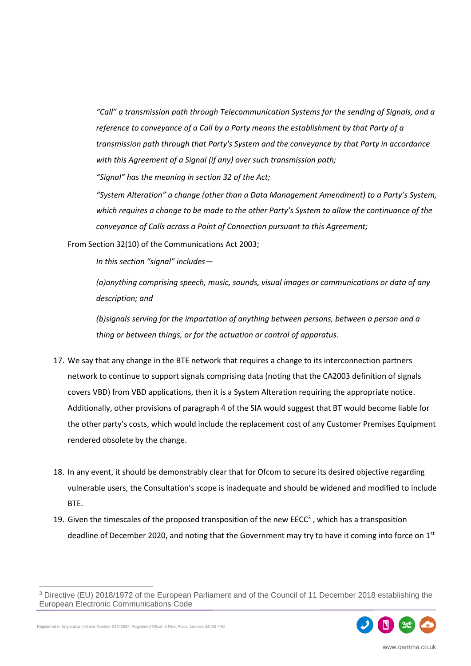*"Call" a transmission path through Telecommunication Systems for the sending of Signals, and a reference to conveyance of a Call by a Party means the establishment by that Party of a transmission path through that Party's System and the conveyance by that Party in accordance with this Agreement of a Signal (if any) over such transmission path;*

*"Signal" has the meaning in section 32 of the Act;*

*"System Alteration" a change (other than a Data Management Amendment) to a Party's System, which requires a change to be made to the other Party's System to allow the continuance of the conveyance of Calls across a Point of Connection pursuant to this Agreement;*

From Section 32(10) of the Communications Act 2003;

*In this section "signal" includes—*

*(a)anything comprising speech, music, sounds, visual images or communications or data of any description; and*

*(b)signals serving for the impartation of anything between persons, between a person and a thing or between things, or for the actuation or control of apparatus.*

- 17. We say that any change in the BTE network that requires a change to its interconnection partners network to continue to support signals comprising data (noting that the CA2003 definition of signals covers VBD) from VBD applications, then it is a System Alteration requiring the appropriate notice. Additionally, other provisions of paragraph 4 of the SIA would suggest that BT would become liable for the other party's costs, which would include the replacement cost of any Customer Premises Equipment rendered obsolete by the change.
- 18. In any event, it should be demonstrably clear that for Ofcom to secure its desired objective regarding vulnerable users, the Consultation's scope is inadequate and should be widened and modified to include BTE.
- 19. Given the timescales of the proposed transposition of the new EECC<sup>3</sup>, which has a transposition deadline of December 2020, and noting that the Government may try to have it coming into force on  $1<sup>st</sup>$

<sup>3</sup> Directive (EU) 2018/1972 of the European Parliament and of the Council of 11 December 2018 establishing the European Electronic Communications Code



Registered in England and Wales Number 04340834; Registered Office: 5 Fleet Place, London, EC4M 7RD

 $\overline{a}$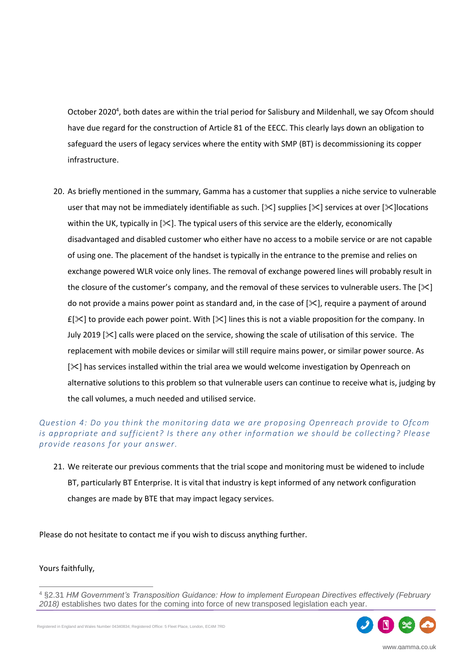October 2020<sup>4</sup>, both dates are within the trial period for Salisbury and Mildenhall, we say Ofcom should have due regard for the construction of Article 81 of the EECC. This clearly lays down an obligation to safeguard the users of legacy services where the entity with SMP (BT) is decommissioning its copper infrastructure.

20. As briefly mentioned in the summary, Gamma has a customer that supplies a niche service to vulnerable user that may not be immediately identifiable as such. [ $\&$ ] supplies [ $\&$ ] services at over [ $\&$ ] locations within the UK, typically in  $[\times]$ . The typical users of this service are the elderly, economically disadvantaged and disabled customer who either have no access to a mobile service or are not capable of using one. The placement of the handset is typically in the entrance to the premise and relies on exchange powered WLR voice only lines. The removal of exchange powered lines will probably result in the closure of the customer's company, and the removal of these services to vulnerable users. The  $[\times]$ do not provide a mains power point as standard and, in the case of  $[\times]$ , require a payment of around  $E[X]$  to provide each power point. With  $[X]$  lines this is not a viable proposition for the company. In July 2019  $[\times]$  calls were placed on the service, showing the scale of utilisation of this service. The replacement with mobile devices or similar will still require mains power, or similar power source. As [ $\ge$ ] has services installed within the trial area we would welcome investigation by Openreach on alternative solutions to this problem so that vulnerable users can continue to receive what is, judging by the call volumes, a much needed and utilised service.

### *Question 4: Do you think the monitoring data we are proposing Openreach provide to Ofcom is appropriate and sufficient? Is there any other information we should be collecting? Please provide reasons for your answer.*

21. We reiterate our previous comments that the trial scope and monitoring must be widened to include BT, particularly BT Enterprise. It is vital that industry is kept informed of any network configuration changes are made by BTE that may impact legacy services.

Please do not hesitate to contact me if you wish to discuss anything further.

#### Yours faithfully,

 $\overline{a}$ 

<sup>4</sup> §2.31 *HM Government's Transposition Guidance: How to implement European Directives effectively (February 2018)* establishes two dates for the coming into force of new transposed legislation each year.



Registered in England and Wales Number 04340834; Registered Office: 5 Fleet Place, London, EC4M 7RD